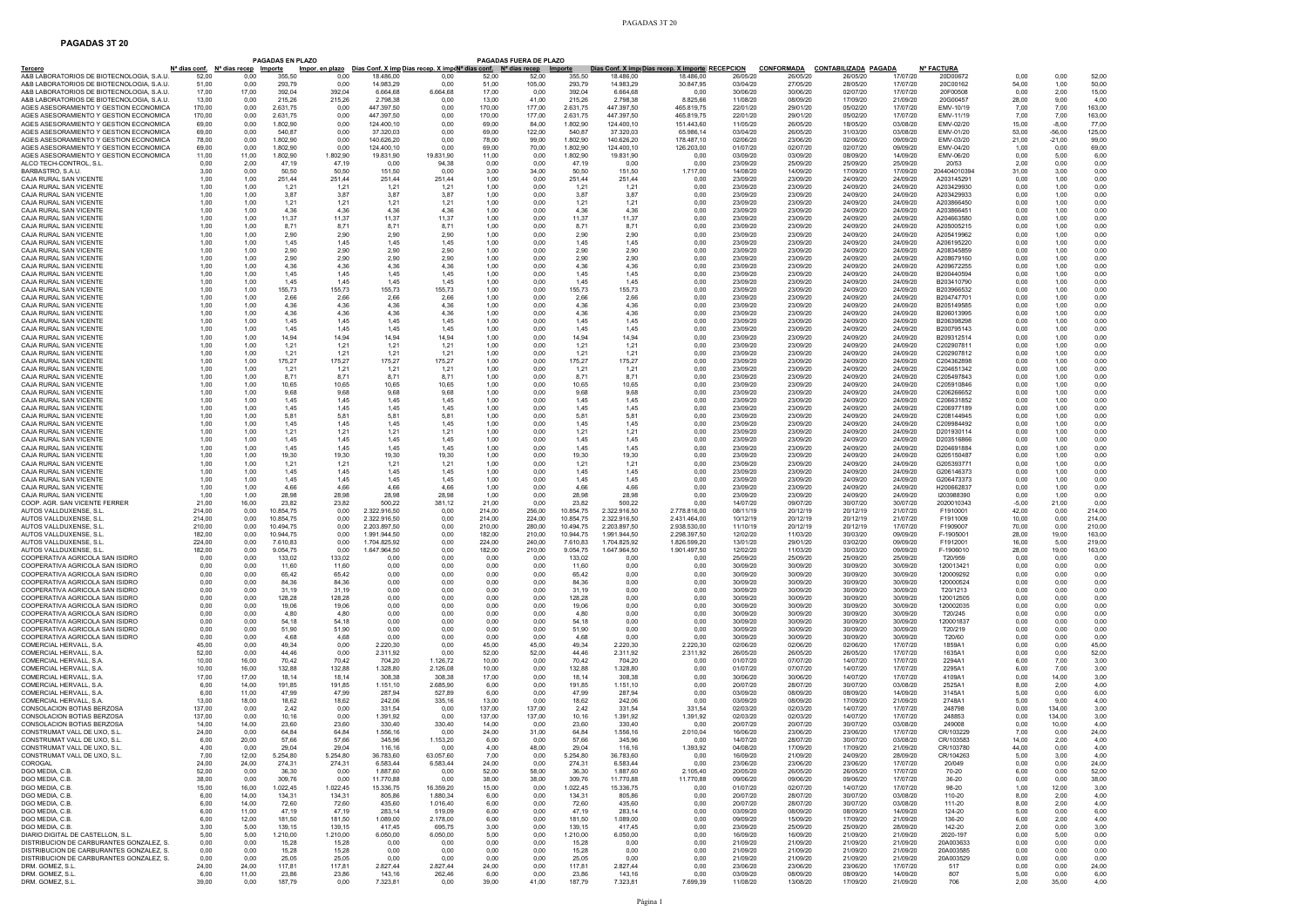## **PAGADAS 3T 20**

|                                                                                  |                  |                                                             | <b>PAGADAS EN PLAZO</b>  |                 |                              |                                                                                                                 |                  | <b>PAGADAS FUERA DE PLAZO</b> |                        |                              |                                                               |                      |                               |                                         |                      |                               |                |                 |                  |
|----------------------------------------------------------------------------------|------------------|-------------------------------------------------------------|--------------------------|-----------------|------------------------------|-----------------------------------------------------------------------------------------------------------------|------------------|-------------------------------|------------------------|------------------------------|---------------------------------------------------------------|----------------------|-------------------------------|-----------------------------------------|----------------------|-------------------------------|----------------|-----------------|------------------|
| <u>Tercero</u><br>A&B LABORATORIOS DE BIOTECNOLOGIA, S.A.U                       | 52.00            | N <sup>a</sup> dias conf. N <sup>a</sup> días recep<br>0.00 | <b>Importe</b><br>355.50 | 0.00            | 18,486.00                    | <u>Impor. en plazo    Días Conf. X imp Días recep. X imp∢Nª dias conf.    Nª días recep     Importe</u><br>0.00 | 52.00            | 52.00                         | 355.50                 | 18,486.00                    | Días Conf. X imp(Días recep. X importe RECEPCION<br>18,486.00 | 26/05/20             | <u>CONFORMADA</u><br>26/05/20 | <b>CONTABILIZADA PAGADA</b><br>26/05/20 | 17/07/20             | <b>N° FACTURA</b><br>20D00672 | 0.00           | 0,00            | 52.00            |
| A&B LABORATORIOS DE BIOTECNOLOGIA. S.A.U                                         | 51.00            | 0.00                                                        | 293.79                   | 0.00            | 14.983.29                    | 0.00                                                                                                            | 51.00            | 105.00                        | 293.79                 | 14.983.29                    | 30.847.95                                                     | 03/04/20             | 27/05/20                      | 28/05/20                                | 17/07/20             | 20C00162                      | 54,00          | 1,00            | 50.00            |
| A&B LABORATORIOS DE BIOTECNOLOGIA, S.A.U                                         | 17,00            | 17,00                                                       | 392,04                   | 392,04          | 6.664,68                     | 6.664,68                                                                                                        | 17,00            | 0,00                          | 392,04                 | 6.664.68                     | 0.00                                                          | 30/06/20             | 30/06/20                      | 02/07/20                                | 17/07/20             | 20F00508                      | 0,00           | 2,00            | 15,00            |
| A&B LABORATORIOS DE BIOTECNOLOGIA. S.A.U                                         | 13.00            | 0.00                                                        | 215,26                   | 215,26          | 2.798,38                     | 0,00                                                                                                            | 13.00            | 41,00                         | 215.26                 | 2,798.38                     | 8.825.66                                                      | 11/08/20             | 08/09/20                      | 17/09/20                                | 21/09/20             | 20G00457                      | 28,00          | 9.00            | 4.00             |
| AGES ASESORAMIENTO Y GESTION ECONOMICA                                           | 170.00           | 0.00                                                        | 2.631,75                 | 0.00            | 447.397,50                   | 0,00                                                                                                            | 170,00           | 177.00                        | 2.631,75               | 447.397,50                   | 465.819,75                                                    | 22/01/20             | 29/01/20                      | 05/02/20                                | 17/07/20             | EMV-10/19                     | 7,00           | 7,00            | 163,00           |
| AGES ASESORAMIENTO Y GESTION ECONOMIC/<br>AGES ASESORAMIENTO Y GESTION ECONOMIC/ | 170.00<br>69.00  | 0.00<br>0.00                                                | 2.631.75<br>1.802.90     | 0.00<br>0.00    | 447.397,50<br>124.400.10     | 0,00<br>0.00                                                                                                    | 170,00<br>69.00  | 177,00<br>84.00               | 2.631.75<br>1.802.90   | 447.397,50<br>124,400.10     | 465.819.75<br>151,443.60                                      | 22/01/20<br>11/05/20 | 29/01/20<br>26/05/20          | 05/02/20<br>18/05/20                    | 17/07/20<br>03/08/20 | EMV-11/19<br>EMV-02/20        | 7,00<br>15.00  | 7,00<br>$-8.00$ | 163.00<br>77,00  |
| AGES ASESORAMIENTO Y GESTION ECONOMICA                                           | 69,00            | 0,00                                                        | 540,87                   | 0,00            | 37.320,03                    | 0,00                                                                                                            | 69,00            | 122,00                        | 540,87                 | 37.320,03                    | 65.986,14                                                     | 03/04/20             | 26/05/20                      | 31/03/20                                | 03/08/20             | EMV-01/20                     | 53,00          | $-56,00$        | 125,00           |
| AGES ASESORAMIENTO Y GESTION ECONOMICA                                           | 78.00            | 0,00                                                        | 1.802,90                 | 0,00            | 140.626,20                   | 0,00                                                                                                            | 78,00            | 99,00                         | 1.802,90               | 140.626,20                   | 178,487.10                                                    | 02/06/20             | 23/06/20                      | 02/06/20                                | 09/09/20             | EMV-03/20                     | 21,00          | $-21,00$        | 99.00            |
| AGES ASESORAMIENTO Y GESTION ECONOMICA                                           | 69.00            | 0.00                                                        | 1.802.90                 | 0.00            | 124.400.10                   | 0.00                                                                                                            | 69.00            | 70,00                         | 1.802.90               | 124,400.10                   | 126.203,00                                                    | 01/07/20             | 02/07/20                      | 02/07/20                                | 09/09/20             | EMV-04/20                     | 1.00           | 0.00            | 69.00            |
| AGES ASESORAMIENTO Y GESTION ECONOMIC/                                           | 11.00            | 11.00                                                       | 1.802.90                 | 1.802,90        | 19.831,90                    | 19.831.90                                                                                                       | 11.00            | 0.00                          | 1.802,90               | 19.831,90                    | 0.00                                                          | 03/09/20             | 03/09/20                      | 08/09/20                                | 14/09/20             | EMV-06/20                     | 0.00           | 5.00            | 6.00             |
| ALCO TECH-CONTROL. S.L<br>BARBASTRO, S.A.U                                       | 0.00<br>3,00     | 2.00<br>0,00                                                | 47.19<br>50,50           | 47.19<br>50,50  | 0.00<br>151,50               | 94.38<br>0,00                                                                                                   | 0.00<br>3,00     | 0.00<br>34,00                 | 47.19<br>50,50         | 0.00<br>151,50               | 0.00<br>1.717,00                                              | 23/09/20<br>14/08/20 | 25/09/20<br>14/09/20          | 25/09/20<br>17/09/20                    | 25/09/20<br>17/09/20 | 20/53<br>204404010394         | 2.00<br>31,00  | 0.00<br>3,00    | 0.00<br>0,00     |
| CAJA RURAL SAN VICENTE                                                           | 1.00             | 1,00                                                        | 251,44                   | 251,44          | 251,44                       | 251,44                                                                                                          | 1,00             | 0,00                          | 251,44                 | 251,44                       | 0.00                                                          | 23/09/20             | 23/09/20                      | 24/09/20                                | 24/09/20             | A203145291                    | 0,00           | 1,00            | 0.00             |
| CAJA RURAL SAN VICENTE                                                           | 1.00             | 1,00                                                        | 1,21                     | 1,21            | 1.21                         | 1,21                                                                                                            | 1,00             | 0.00                          | 1,21                   | 1.21                         | 0.00                                                          | 23/09/20             | 23/09/20                      | 24/09/20                                | 24/09/20             | A203429930                    | 0.00           | 1,00            | 0.00             |
| CAJA RURAL SAN VICENTE                                                           | 1,00             | 1,00                                                        | 3,87                     | 3,87            | 3,87                         | 3,87                                                                                                            | 1,00             | 0,00                          | 3,87                   | 3,87                         | 0,00                                                          | 23/09/20             | 23/09/20                      | 24/09/20                                | 24/09/20             | A203429933                    | 0,00           | 1,00            | 0,00             |
| CAJA RURAL SAN VICENTE                                                           | 1.00             | 1.00                                                        | 1,21                     | 1,21            | 1,21                         | 1.21                                                                                                            | 1,00             | 0.00                          | 1,21                   | 1,21                         | 0.00                                                          | 23/09/20             | 23/09/20                      | 24/09/20                                | 24/09/20             | A203866450                    | 0.00           | 1.00            | 0.00             |
| CAJA RURAL SAN VICENTE<br>CAJA RURAL SAN VICENTE                                 | 1,00<br>1.00     | 1,00                                                        | 4,36                     | 4,36            | 4.36                         | 4,36                                                                                                            | 1,00             | 0,00                          | 4.36                   | 4,36                         | 0,00<br>0.00                                                  | 23/09/20<br>23/09/20 | 23/09/20<br>23/09/20          | 24/09/20<br>24/09/20                    | 24/09/20<br>24/09/20 | A203866451<br>A204663580      | 0,00           | 1,00            | 0,00<br>0.00     |
| CAJA RURAL SAN VICENTE                                                           | 1.00             | 1,00<br>1,00                                                | 11,37<br>8.71            | 11,37<br>8.71   | 11,37<br>8,71                | 11,37<br>8.71                                                                                                   | 1,00<br>1.00     | 0,00<br>0.00                  | 11,37<br>8,71          | 11,37<br>8.71                | 0.00                                                          | 23/09/20             | 23/09/20                      | 24/09/20                                | 24/09/20             | A205005215                    | 0,00<br>0.00   | 1,00<br>1,00    | 0.00             |
| CAJA RURAL SAN VICENTE                                                           | 1,00             | 1,00                                                        | 2,90                     | 2,90            | 2,90                         | 2,90                                                                                                            | 1,00             | 0,00                          | 2,90                   | 2,90                         | 0,00                                                          | 23/09/20             | 23/09/20                      | 24/09/20                                | 24/09/20             | A205419962                    | 0,00           | 1,00            | 0,00             |
| CAJA RURAL SAN VICENTE                                                           | 1.00             | 1.00                                                        | 1.45                     | 1.45            | 1.45                         | 1.45                                                                                                            | 1.00             | 0.00                          | 1.45                   | 1.45                         | 0.00                                                          | 23/09/20             | 23/09/20                      | 24/09/20                                | 24/09/20             | A206195220                    | 0.00           | 1.00            | 0.00             |
| CAJA RURAL SAN VICENTE                                                           | 1,00             | 1,00                                                        | 2,90                     | 2,90            | 2,90                         | 2,90                                                                                                            | 1,00             | 0,00                          | 2,90                   | 2,90                         | 0,00                                                          | 23/09/20             | 23/09/20                      | 24/09/20                                | 24/09/20             | A208345859                    | 0,00           | 1,00            | 0,00             |
| CAJA RURAL SAN VICENTE                                                           | 1.00             | 1,00                                                        | 2,90                     | 2,90            | 2,90                         | 2,90                                                                                                            | 1,00             | 0,00                          | 2,90                   | 2,90                         | 0.00                                                          | 23/09/20             | 23/09/20                      | 24/09/20                                | 24/09/20             | A208679160                    | 0.00           | 1,00            | 0.00             |
| CAJA RURAL SAN VICENTE<br>CAJA RURAL SAN VICENTE                                 | 1.00<br>1,00     | 1,00<br>1,00                                                | 4,36<br>1,45             | 4.36<br>1,45    | 4.36<br>1,45                 | 4.36<br>1,45                                                                                                    | 1,00<br>1,00     | 0.00<br>0,00                  | 4,36<br>1,45           | 4,36<br>1,45                 | 0.00<br>0,00                                                  | 23/09/20<br>23/09/20 | 23/09/20<br>23/09/20          | 24/09/20<br>24/09/20                    | 24/09/20<br>24/09/20 | A209672255<br>B200440594      | 0.00<br>0,00   | 1,00<br>1,00    | 0.00<br>0,00     |
| CAJA RURAL SAN VICENTE                                                           | 1.00             | 1.00                                                        | 1.45                     | 1.45            | 1.45                         | 1.45                                                                                                            | 1,00             | 0.00                          | 1.45                   | 1.45                         | 0.00                                                          | 23/09/20             | 23/09/20                      | 24/09/20                                | 24/09/20             | B203410790                    | 0.00           | 1.00            | 0.00             |
| CAJA RURAL SAN VICENTE                                                           | 1.00             | 1,00                                                        | 155,73                   | 155,73          | 155,73                       | 155,73                                                                                                          | 1,00             | 0,00                          | 155,73                 | 155,73                       | 0.00                                                          | 23/09/20             | 23/09/20                      | 24/09/20                                | 24/09/20             | B203966532                    | 0.00           | 1,00            | 0.00             |
| CAJA RURAL SAN VICENTE                                                           | 1.00             | 1,00                                                        | 2,66                     | 2,66            | 2,66                         | 2,66                                                                                                            | 1,00             | 0,00                          | 2,66                   | 2,66                         | 0.00                                                          | 23/09/20             | 23/09/20                      | 24/09/20                                | 24/09/20             | B204747701                    | 0.00           | 1,00            | 0.00             |
| CAJA RURAL SAN VICENTE                                                           | 1.00             | 1.00                                                        | 4,36                     | 4.36            | 4.36                         | 4.36                                                                                                            | 1.00             | 0.00                          | 4.36                   | 4.36                         | 0.00                                                          | 23/09/20             | 23/09/20                      | 24/09/20                                | 24/09/20             | B205149585                    | 0.00           | 1.00            | 0.00             |
| CAJA RURAL SAN VICENTE<br>CAJA RURAL SAN VICENTE                                 | 1,00<br>1.00     | 1,00<br>1.00                                                | 4,36<br>1.45             | 4,36<br>1.45    | 4,36<br>1.45                 | 4,36<br>1.45                                                                                                    | 1,00<br>1.00     | 0,00<br>0.00                  | 4,36<br>1.45           | 4,36<br>1.45                 | 0,00<br>0.00                                                  | 23/09/20<br>23/09/20 | 23/09/20<br>23/09/20          | 24/09/20<br>24/09/20                    | 24/09/20<br>24/09/20 | B206013995<br>B206398298      | 0,00<br>0.00   | 1,00<br>1.00    | 0,00<br>0.00     |
| CAJA RURAL SAN VICENTE                                                           | 1.00             | 1,00                                                        | 1,45                     | 1.45            | 1.45                         | 1.45                                                                                                            | 1,00             | 0,00                          | 1,45                   | 1.45                         | 0.00                                                          | 23/09/20             | 23/09/20                      | 24/09/20                                | 24/09/20             | B200795143                    | 0.00           | 1,00            | 0,00             |
| CAJA RURAL SAN VICENTE                                                           | 1.00             | 1,00                                                        | 14,94                    | 14,94           | 14,94                        | 14,94                                                                                                           | 1,00             | 0,00                          | 14,94                  | 14,94                        | 0,00                                                          | 23/09/20             | 23/09/20                      | 24/09/20                                | 24/09/20             | B209312514                    | 0.00           | 1,00            | 0.00             |
| CAJA RURAL SAN VICENTE                                                           | 1.00             | 1,00                                                        | 1,21                     | 1,21            | 1,21                         | 1,21                                                                                                            | 1,00             | 0,00                          | 1,21                   | 1,21                         | 0.00                                                          | 23/09/20             | 23/09/20                      | 24/09/20                                | 24/09/20             | C202907811                    | 0.00           | 1,00            | 0.00             |
| CAJA RURAL SAN VICENTE                                                           | 1,00             | 1,00                                                        | 1,21                     | 1,21            | 1,21                         | 1,21                                                                                                            | 1,00             | 0,00                          | 1,21                   | 1,21                         | 0,00                                                          | 23/09/20             | 23/09/20                      | 24/09/20                                | 24/09/20             | C202907812                    | 0,00           | 1,00            | 0,00             |
| CAJA RURAL SAN VICENTE<br>CAJA RURAL SAN VICENTE                                 | 1.00<br>1.00     | 1.00<br>1,00                                                | 175,27<br>1,21           | 175,27<br>1,21  | 175,27<br>1,21               | 175.27<br>1,21                                                                                                  | 1,00<br>1,00     | 0.00<br>0,00                  | 175,27<br>1,21         | 175.27<br>1,21               | 0.00<br>0.00                                                  | 23/09/20<br>23/09/20 | 23/09/20<br>23/09/20          | 24/09/20<br>24/09/20                    | 24/09/20<br>24/09/20 | C204362898<br>C204651342      | 0.00<br>0,00   | 1.00<br>1,00    | 0.00<br>0.00     |
| CAJA RURAL SAN VICENTE                                                           | 1.00             | 1,00                                                        | 8,71                     | 8,71            | 8,71                         | 8.71                                                                                                            | 1,00             | 0,00                          | 8,71                   | 8.71                         | 0.00                                                          | 23/09/20             | 23/09/20                      | 24/09/20                                | 24/09/20             | C205497843                    | 0.00           | 1,00            | 0.00             |
| CAJA RURAL SAN VICENTE                                                           | 1.00             | 1.00                                                        | 10.65                    | 10.65           | 10,65                        | 10.65                                                                                                           | 1.00             | 0.00                          | 10,65                  | 10.65                        | 0.00                                                          | 23/09/20             | 23/09/20                      | 24/09/20                                | 24/09/20             | C205910846                    | 0.00           | 1.00            | 0.00             |
| CAJA RURAL SAN VICENTE                                                           | 1,00             | 1,00                                                        | 9,68                     | 9,68            | 9,68                         | 9,68                                                                                                            | 1,00             | 0,00                          | 9,68                   | 9,68                         | 0,00                                                          | 23/09/20             | 23/09/20                      | 24/09/20                                | 24/09/20             | C206266652                    | 0,00           | 1,00            | 0,00             |
| CAJA RURAL SAN VICENTE                                                           | 1.00             | 1,00                                                        | 1,45                     | 1,45            | 1,45                         | 1,45                                                                                                            | 1,00             | 0,00                          | 1,45                   | 1,45                         | 0.00                                                          | 23/09/20             | 23/09/20                      | 24/09/20                                | 24/09/20             | C206631852                    | 0.00           | 1,00            | 0.00             |
| CAJA RURAL SAN VICENTE<br>CAJA RURAL SAN VICENTE                                 | 1.00<br>1.00     | 1,00<br>1.00                                                | 1,45                     | 1.45<br>5.81    | 1,45<br>5.81                 | 1.45<br>5.81                                                                                                    | 1,00             | 0.00<br>0.00                  | 1,45<br>5.81           | 1.45<br>5.81                 | 0.00<br>0.00                                                  | 23/09/20<br>23/09/20 | 23/09/20<br>23/09/20          | 24/09/20<br>24/09/20                    | 24/09/20<br>24/09/20 | C206977189<br>C208144945      | 0.00<br>0.00   | 1,00<br>1.00    | 0,00<br>0.00     |
| CAJA RURAL SAN VICENTE                                                           | 1.00             | 1.00                                                        | 5,81<br>1.45             | 1.45            | 1.45                         | 1.45                                                                                                            | 1,00<br>1.00     | 0.00                          | 1.45                   | 1.45                         | 0.00                                                          | 23/09/20             | 23/09/20                      | 24/09/20                                | 24/09/20             | C209984492                    | 0.00           | 1.00            | 0.00             |
| CAJA RURAL SAN VICENTE                                                           | 1,00             | 1,00                                                        | 1,21                     | 1,21            | 1,21                         | 1,21                                                                                                            | 1,00             | 0,00                          | 1,21                   | 1,21                         | 0,00                                                          | 23/09/20             | 23/09/20                      | 24/09/20                                | 24/09/20             | D201930114                    | 0,00           | 1,00            | 0,00             |
| CAJA RURAL SAN VICENTE                                                           | 1.00             | 1.00                                                        | 1.45                     | 1.45            | 1.45                         | 1.45                                                                                                            | 1,00             | 0.00                          | 1.45                   | 1.45                         | 0.00                                                          | 23/09/20             | 23/09/20                      | 24/09/20                                | 24/09/20             | D203516866                    | 0.00           | 1.00            | 0.00             |
| CAJA RURAL SAN VICENTE                                                           | 1.00             | 1,00                                                        | 1,45                     | 1.45            | 1.45                         | 1.45                                                                                                            | 1,00             | 0.00                          | 1.45                   | 1.45                         | 0.00                                                          | 23/09/20             | 23/09/20                      | 24/09/20                                | 24/09/20             | D204691884                    | 0.00           | 1,00            | 0.00             |
| CAJA RURAL SAN VICENTE<br>CAJA RURAL SAN VICENTE                                 | 1,00<br>1.00     | 1,00<br>1.00                                                | 19,30<br>1,21            | 19,30<br>1.21   | 19,30<br>1.21                | 19,30<br>1.21                                                                                                   | 1,00<br>1,00     | 0,00<br>0.00                  | 19,30<br>1.21          | 19,30<br>1.21                | 0,00<br>0.00                                                  | 23/09/20<br>23/09/20 | 23/09/20<br>23/09/20          | 24/09/20<br>24/09/20                    | 24/09/20<br>24/09/20 | G205150487<br>G205393771      | 0,00<br>0.00   | 1,00<br>1.00    | 0,00<br>0.00     |
| CAJA RURAL SAN VICENTE                                                           | 1,00             | 1,00                                                        | 1,45                     | 1,45            | 1,45                         | 1,45                                                                                                            | 1,00             | 0,00                          | 1,45                   | 1,45                         | 0,00                                                          | 23/09/20             | 23/09/20                      | 24/09/20                                | 24/09/20             | G206146373                    | 0,00           | 1,00            | 0,00             |
| CAJA RURAL SAN VICENTE                                                           | 1.00             | 1,00                                                        | 1,45                     | 1,45            | 1.45                         | 1,45                                                                                                            | 1,00             | 0,00                          | 1,45                   | 1,45                         | 0.00                                                          | 23/09/20             | 23/09/20                      | 24/09/20                                | 24/09/20             | G206473373                    | 0,00           | 1,00            | 0.00             |
| CAJA RURAL SAN VICENTE                                                           | 1.00             | 1,00                                                        | 4.66                     | 4.66            | 466                          | 4.66                                                                                                            | 1.00             | 0.00                          | 4.66                   | 4.66                         | 0.00                                                          | 23/09/20             | 23/09/20                      | 24/09/20                                | 24/09/20             | H200662837                    | 0.00           | 1,00            | 0,00             |
| CAJA RURAL SAN VICENTE                                                           | 1,00             | 1,00                                                        | 28,98                    | 28,98           | 28,98                        | 28,98                                                                                                           | 1,00             | 0,00                          | 28,98                  | 28,98                        | 0,00                                                          | 23/09/20             | 23/09/20                      | 24/09/20                                | 24/09/20             | 1203988390                    | 0,00           | 1,00            | 0,00             |
| COOP. AGR. SAN VICENTE FERRER                                                    | 21.00            | 16.00                                                       | 23.82                    | 23.82           | 500.22                       | 381.12                                                                                                          | 21.00            | 0.00                          | 23.82                  | 500.22                       | 0.00                                                          | 14/07/20<br>08/11/19 | 09/07/20                      | 30/07/20                                | 30/07/20             | 2020010343                    | $-5.00$        | 21.00           | 0.00             |
| AUTOS VALLDUXENSE, S.L<br>AUTOS VALLDUXENSE, S.L.                                | 214,00<br>214.00 | 0,00<br>0.00                                                | 10.854,75<br>10.854.75   | 0,00<br>0.00    | 2.322.916,50<br>2.322.916,50 | 0,00<br>0,00                                                                                                    | 214,00<br>214.00 | 256,00<br>224.00              | 10.854,75<br>10.854.75 | 2.322.916,50<br>2.322.916,50 | 2.778.816,00<br>2.431.464.00                                  | 10/12/19             | 20/12/19<br>20/12/19          | 20/12/19<br>20/12/19                    | 21/07/20<br>21/07/20 | F1910001<br>F1911009          | 42,00<br>10.00 | 0,00<br>0.00    | 214,00<br>214.00 |
| AUTOS VALLDUXENSE, S.L.                                                          | 210.00           | 0.00                                                        | 10.494.75                | 0.00            | 2.203.897.50                 | 0,00                                                                                                            | 210,00           | 280.00                        | 10.494.75              | 2.203.897.50                 | 2.938.530,00                                                  | 11/10/19             | 20/12/19                      | 20/12/19                                | 17/07/20             | F1909007                      | 70.00          | 0.00            | 210.00           |
| AUTOS VALLDUXENSE, S.L.                                                          | 182.00           | 0,00                                                        | 10.944.75                | 0.00            | 1.991.944.50                 | 0,00                                                                                                            | 182.00           | 210,00                        | 10.944.75              | 1.991.944.50                 | 2.298.397.50                                                  | 12/02/20             | 11/03/20                      | 30/03/20                                | 09/09/20             | F-1905001                     | 28,00          | 19.00           | 163.00           |
| AUTOS VALLDUXENSE. S.L                                                           | 224.00           | 0.00                                                        | 7.610.83                 | 0.00            | 1.704.825.92                 | 0.00                                                                                                            | 224.00           | 240.00                        | 7.610.83               | 1.704.825.92                 | 1.826.599.20                                                  | 13/01/20             | 29/01/20                      | 03/02/20                                | 09/09/20             | F1912001                      | 16.00          | 5.00            | 219.00           |
| AUTOS VALLDUXENSE, S.L.                                                          | 182,00           | 0.00<br>0.00                                                | 9.054.75                 | 0.00            | 1.647.964,50                 | 0,00                                                                                                            | 182,00           | 210,00                        | 9.054,75               | 1.647.964.50<br>0.00         | 1.901.497.50                                                  | 12/02/20             | 11/03/20<br>25/09/20          | 30/03/20                                | 09/09/20<br>25/09/20 | F-1906010<br>T20/959          | 28,00<br>0.00  | 19,00           | 163,00<br>0.00   |
| COOPERATIVA AGRICOLA SAN ISIDRO<br>COOPERATIVA AGRICOLA SAN ISIDRO               | 0.00<br>0.00     | 0.00                                                        | 133,02<br>11.60          | 133,02<br>11.60 | 0.00<br>0.00                 | 0,00<br>0.00                                                                                                    | 0,00<br>0.00     | 0,00<br>0.00                  | 133,02<br>1160         | 0.00                         | 0.00<br>0.00                                                  | 25/09/20<br>30/09/20 | 30/09/20                      | 25/09/20<br>30/09/20                    | 30/09/20             | 120013421                     | 0.00           | 0,00<br>0.00    | 0,00             |
| COOPERATIVA AGRICOLA SAN ISIDRO                                                  | 0,00             | 0,00                                                        | 65,42                    | 65,42           | 0,00                         | 0,00                                                                                                            | 0,00             | 0,00                          | 65,42                  | 0,00                         | 0,00                                                          | 30/09/20             | 30/09/20                      | 30/09/20                                | 30/09/20             | 120009292                     | 0,00           | 0,00            | 0,00             |
| COOPERATIVA AGRICOLA SAN ISIDRO                                                  | 0.00             | 0.00                                                        | 84.36                    | 84.36           | 0.00                         | 0.00                                                                                                            | 0.00             | 0.00                          | 84.36                  | 0.00                         | 0.00                                                          | 30/09/20             | 30/09/20                      | 30/09/20                                | 30/09/20             | 120000524                     | 0.00           | 0.00            | 0.00             |
| COOPERATIVA AGRICOLA SAN ISIDRO                                                  | 0.00             | 0.00                                                        | 31,19                    | 31.19           | 0,00                         | 0,00                                                                                                            | 0.00             | 0.00                          | 31.19                  | 0.00                         | 0.00                                                          | 30/09/20             | 30/09/20                      | 30/09/20                                | 30/09/20             | T20/1213                      | 0.00           | 0.00            | 0.00             |
| COOPERATIVA AGRICOLA SAN ISIDRO                                                  | 0.00             | 0.00                                                        | 128,28                   | 128.28          | 0,00                         | 0,00                                                                                                            | 0,00             | 0,00                          | 128,28                 | 0.00                         | 0.00                                                          | 30/09/20             | 30/09/20                      | 30/09/20                                | 30/09/20             | 120012505                     | 0,00           | 0,00            | 0.00             |
| COOPERATIVA AGRICOLA SAN ISIDRO<br>COOPERATIVA AGRICOLA SAN ISIDRO               | 0.00<br>0,00     | 0.00<br>0,00                                                | 19.06<br>4,80            | 19.06<br>4,80   | 0.00<br>0,00                 | 0.00<br>0,00                                                                                                    | 0.00<br>0,00     | 0.00<br>0,00                  | 19,06<br>4,80          | 0.00<br>0,00                 | 0.00<br>0,00                                                  | 30/09/20<br>30/09/20 | 30/09/20<br>30/09/20          | 30/09/20<br>30/09/20                    | 30/09/20<br>30/09/20 | 120002035<br>T20/245          | 0.00<br>0,00   | 0.00<br>0,00    | 0.00<br>0,00     |
| COOPERATIVA AGRICOLA SAN ISIDRO                                                  | 0.00             | 0.00                                                        | 54.18                    | 54.18           | 0.00                         | 0.00                                                                                                            | 0.00             | 0.00                          | 54.18                  | 0,00                         | 0.00                                                          | 30/09/20             | 30/09/20                      | 30/09/20                                | 30/09/20             | 120001837                     | 0.00           | 0.00            | 0.00             |
| COOPERATIVA AGRICOLA SAN ISIDRO                                                  | 0.00             | 0.00                                                        | 51,90                    | 51,90           | 0.00                         | 0.00                                                                                                            | 0,00             | 0,00                          | 51,90                  | 0,00                         | 0.00                                                          | 30/09/20             | 30/09/20                      | 30/09/20                                | 30/09/20             | T20/219                       | 0,00           | 0,00            | 0.00             |
| COOPERATIVA AGRICOLA SAN ISIDRO                                                  | 0.00             | 0,00                                                        | 4.68                     | 4.68            | 0.00                         | 0,00                                                                                                            | 0.00             | 0,00                          | 4.68                   | 0.00                         | 0,00                                                          | 30/09/20             | 30/09/20                      | 30/09/20                                | 30/09/20             | T20/60                        | 0,00           | 0,00            | 0.00             |
| COMERCIAL HERVALL, S.A.                                                          | 45.00            | 0.00                                                        | 49.34                    | 0.00            | 2.220,30                     | 0.00                                                                                                            | 45.00            | 45.00                         | 49.34                  | 2.220,30                     | 2.220.30                                                      | 02/06/20             | 02/06/20                      | 02/06/20                                | 17/07/20             | 1859A1                        | 0.00           | 0.00            | 45.00            |
| COMERCIAL HERVALL, S.A<br>COMERCIAL HERVALL, S.A.                                | 52,00<br>10.00   | 0,00<br>16.00                                               | 44,46<br>70.42           | 0,00<br>70.42   | 2.311,92<br>704.20           | 0,00<br>1.126.72                                                                                                | 52,00<br>10.00   | 52,00<br>0.00                 | 44,46<br>70.42         | 2.311,92<br>704.20           | 2.311,92<br>0.00                                              | 26/05/20<br>01/07/20 | 26/05/20<br>07/07/20          | 26/05/20<br>14/07/20                    | 17/07/20<br>17/07/20 | 1635A1<br>2294A1              | 0,00<br>6.00   | 0,00<br>7.00    | 52,00<br>3.00    |
| COMERCIAL HERVALL, S.A                                                           | 10.00            | 16.00                                                       | 132.88                   | 132.88          | 1.328,80                     | 2.126,08                                                                                                        | 10.00            | 0.00                          | 132,88                 | 1.328,80                     | 0.00                                                          | 01/07/20             | 07/07/20                      | 14/07/20                                | 17/07/20             | 2295A1                        | 6.00           | 7,00            | 3,00             |
| COMERCIAL HERVALL, S.A.                                                          | 17.00            | 17.00                                                       | 18.14                    | 18.14           | 308.38                       | 308.38                                                                                                          | 17,00            | 0.00                          | 18.14                  | 308.38                       | 0.00                                                          | 30/06/20             | 30/06/20                      | 14/07/20                                | 17/07/20             | 4109A                         | 0.00           | 14.00           | 3.00             |
| COMERCIAL HERVALL, S.A.                                                          | 6.00             | 14.00                                                       | 191.85                   | 191.85          | 1.151.10                     | 2.685.90                                                                                                        | 6.00             | 0.00                          | 191.85                 | 1.151.10                     | 0.00                                                          | 20/07/20             | 28/07/20                      | 30/07/20                                | 03/08/20             | 2525A1                        | 8.00           | 2.00            | 4.00             |
| COMERCIAL HERVALL, S.A<br>COMERCIAL HERVALL, S.A.                                | 6,00<br>13.00    | 11,00<br>18.00                                              | 47,99<br>18.62           | 47,99<br>18.62  | 287,94<br>242.06             | 527,89<br>335.16                                                                                                | 6,00<br>13.00    | 0,00<br>0.00                  | 47,99<br>18.62         | 287,94<br>242.06             | 0,00<br>0.00                                                  | 03/09/20<br>03/09/20 | 08/09/20<br>08/09/20          | 08/09/20<br>17/09/20                    | 14/09/20<br>21/09/20 | 3145A1<br>2748A1              | 5,00<br>5,00   | 0,00<br>9,00    | 6,00<br>4.00     |
| CONSOLACION BOTIAS BERZOS                                                        | 137.00           | 0.00                                                        | 2,42                     | 0.00            | 331.54                       | 0.00                                                                                                            | 137,00           | 137.00                        | 2,42                   | 331.54                       | 331.54                                                        | 02/03/20             | 02/03/20                      | 14/07/20                                | 17/07/20             | 248798                        | 0.00           | 134.00          | 3.00             |
| CONSOLACION BOTIAS BERZOS/                                                       | 137.00           | 0.00                                                        | 10.16                    | 0.00            | 1.391.92                     | 0.00                                                                                                            | 137.00           | 137.00                        | 10,16                  | 1.391.92                     | 1.391,92                                                      | 02/03/20             | 02/03/20                      | 14/07/20                                | 17/07/20             | 248853                        | 0.00           | 134.00          | 3.00             |
| CONSOLACION BOTIAS BERZOS/                                                       | 14.00            | 14.00                                                       | 23.60                    | 23.60           | 330.40                       | 330.40                                                                                                          | 14.00            | 0.00                          | 23.60                  | 330.40                       | 0.00                                                          | 20/07/20             | 20/07/20                      | 30/07/20                                | 03/08/20             | 249008                        | 0.00           | 10.00           | 4,00             |
| CONSTRUMAT VALL DE UXO. S.L                                                      | 24,00            | 0.00                                                        | 64,84                    | 64,84           | 1.556,16                     | 0,00                                                                                                            | 24,00            | 31,00                         | 64,84                  | 1.556,16                     | 2.010,04                                                      | 16/06/20             | 23/06/20                      | 23/06/20                                | 17/07/20             | CR/103229                     | 7,00           | 0,00            | 24,00            |
| CONSTRUMATIVALL DE UXO ST<br>CONSTRUMAT VALL DE UXO, S.L                         | 6.00<br>4.00     | 20.00<br>0.00                                               | 57.66<br>29.04           | 57.66<br>29.04  | 345.96                       | 1.153,20                                                                                                        | 6.00             | 0.00                          | 57.66<br>29.04         | 345.96<br>116.16             | 0.00                                                          | 14/07/20<br>04/08/20 | 28/07/20                      | 30/07/20                                | 03/08/20             | CR/103583                     | 14.00<br>44.00 | 2,00<br>0.00    | 4,00             |
| CONSTRUMAT VALL DE UXO. S.L                                                      |                  | 12.00                                                       | 5.254.80                 | 5.254.80        | 116,16<br>36,783.60          | 0,00<br>63.057.60                                                                                               | 4,00<br>7.00     | 48,00<br>0.00                 | 5.254.80               | 36.783.60                    | 1.393,92<br><b>U.UU</b>                                       | 16/U9/20             | 17/09/20<br>21/09/20          | 17/09/20<br>24/09/20                    | 21/09/20<br>28/09/20 | CR/103780<br>CR/104263        | 5.00           | 3.00            | 4,00             |
| COROGAL                                                                          | 24.00            | 24.00                                                       | 274.31                   | 274.31          | 6.583.44                     | 6.583.44                                                                                                        | 24.00            | 0.00                          | 274.31                 | 6,583.44                     | 0.00                                                          | 23/06/20             | 23/06/20                      | 23/06/20                                | 17/07/20             | 20/049                        | 0.00           | 0.00            | 24.00            |
| DGO MEDIA, C.B.                                                                  | 52,00            | 0,00                                                        | 36,30                    | 0,00            | 1.887.60                     | 0,00                                                                                                            | 52,00            | 58,00                         | 36,30                  | 1.887.60                     | 2.105,40                                                      | 20/05/20             | 26/05/20                      | 26/05/20                                | 17/07/20             | 70-20                         | 6,00           | 0,00            | 52,00            |
| DGO MEDIA, C.B.                                                                  | 38.00            | 0.00                                                        | 309.76                   | 0.00            | 11.770,88                    | 0.00                                                                                                            | 38.00            | 38,00                         | 309.76                 | 11,770.88                    | 11,770.88                                                     | 09/06/20             | 09/06/20                      | 09/06/20                                | 17/07/20             | 36-20                         | 0,00           | 0.00            | 38.00            |
| DGO MEDIA, C.B.                                                                  | 15,00            | 16,00                                                       | 1.022,45                 | 1.022,45        | 15.336,75                    | 16.359,20                                                                                                       | 15,00            | 0.00                          | 1.022,45               | 15.336,75                    | 0.00                                                          | 01/07/20             | 02/07/20                      | 14/07/20                                | 17/07/20             | 98-20                         | 1.00           | 12,00           | 3,00             |
| DGO MEDIA, C.B.<br>DGO MEDIA, C.B.                                               | 6.00<br>6.00     | 14.00<br>14.00                                              | 134.31<br>72.60          | 134.31<br>72.60 | 805.86<br>435.60             | 1.880.34<br>1.016,40                                                                                            | 6,00<br>6.00     | 0.00<br>0.00                  | 134,31<br>72.60        | 805.86<br>435,60             | 0.00<br>0.00                                                  | 20/07/20<br>20/07/20 | 28/07/20<br>28/07/20          | 30/07/20<br>30/07/20                    | 03/08/20<br>03/08/20 | 110-20<br>111-20              | 8.00<br>8.00   | 2,00<br>2.00    | 4,00<br>4,00     |
| DGO MEDIA, C.B.                                                                  | 6,00             | 11,00                                                       | 47,19                    | 47,19           | 283,14                       | 519,09                                                                                                          | 6,00             | 0,00                          | 47,19                  | 283,14                       | 0,00                                                          | 03/09/20             | 08/09/20                      | 08/09/20                                | 14/09/20             | 124-20                        | 5,00           | 0,00            | 6,00             |
| DGO MEDIA C B                                                                    | 6.00             | 12,00                                                       | 181,50                   | 181,50          | 1.089.00                     | 2.178,00                                                                                                        | 6,00             | 0.00                          | 181.50                 | 1.089.00                     | 0.00                                                          | 09/09/20             | 15/09/20                      | 17/09/20                                | 21/09/20             | 136-20                        | 6.00           | 2,00            | 4.00             |
| DGO MEDIA C.B.                                                                   | 3.00             | 5.00                                                        | 139 15                   | 139 15          | 41745                        | 695 75                                                                                                          | 3.00             | 0.00                          | 139 15                 | 41745                        | 0.00                                                          | 23/09/20             | 25/09/20                      | 25/09/20                                | 28/09/20             | 142-20                        | 2.00           | 0.00            | 3,00             |
| DIARIO DIGITAL DE CASTELLON, S.L.<br>DISTRIBUCION DE CARBURANTES GONZALEZ. S.    | 5,00             | 5,00                                                        | 1.210,00                 | 1.210,00        | 6.050,00                     | 6.050,00                                                                                                        | 5,00             | 0,00                          | 1.210,00               | 6.050,00                     | 0,00                                                          | 16/09/20             | 16/09/20                      | 21/09/20                                | 21/09/20             | 2020-197                      | 0,00           | 5,00            | 0,00             |
| DISTRIBUCION DE CARBURANTES GONZALEZ, S.                                         | 0.00<br>0,00     | 0.00<br>0,00                                                | 15.28<br>15,28           | 15.28<br>15,28  | 0.00<br>0,00                 | 0.00<br>0,00                                                                                                    | 0.00<br>0,00     | 0.00<br>0,00                  | 15.28<br>15,28         | 0.00<br>0,00                 | 0.00<br>0,00                                                  | 21/09/20<br>21/09/20 | 21/09/20<br>21/09/20          | 21/09/20<br>21/09/20                    | 21/09/20<br>21/09/20 | 20A003633<br>20A003585        | 0.00<br>0,00   | 0.00<br>0,00    | 0,00<br>0,00     |
| DISTRIBUCION DE CARBURANTES GONZALEZ. S                                          | 0,00             | 0,00                                                        | 25,05                    | 25,05           | 0,00                         | 0,00                                                                                                            | 0,00             | 0,00                          | 25,05                  | 0,00                         | 0,00                                                          | 21/09/20             | 21/09/20                      | 21/09/20                                | 21/09/20             | 20A003529                     | 0,00           | 0,00            | 0,00             |
| DRM, GOMEZ, S.L.                                                                 | 24,00            | 24,00                                                       | 117.81                   | 117.81          | 2.827,44                     | 2.827,44                                                                                                        | 24,00            | 0.00                          | 117,81                 | 2.827,44                     | 0.00                                                          | 23/06/20             | 23/06/20                      | 23/06/20                                | 17/07/20             | 517                           | 0.00           | 0,00            | 24.00            |
| DRM. GOMEZ, S.L                                                                  | 6,00             | 11,00                                                       | 23,86                    | 23,86           | 143,16                       | 262,46                                                                                                          | 6,00             | 0,00                          | 23,86                  | 143,16                       | 0,00                                                          | 03/09/20             | 08/09/20                      | 08/09/20                                | 14/09/20             | 807                           | 5,00           | 0,00            | 6,00             |
| DRM. GOMEZ, S.L                                                                  | 39,00            | 0.00                                                        | 187,79                   | 0.00            | 7.323,81                     | 0.00                                                                                                            | 39,00            | 41,00                         | 187,79                 | 7.323,81                     | 7.699,39                                                      | 11/08/20             | 13/08/20                      | 17/09/20                                | 21/09/20             | 706                           | 2,00           | 35.00           | 4,00             |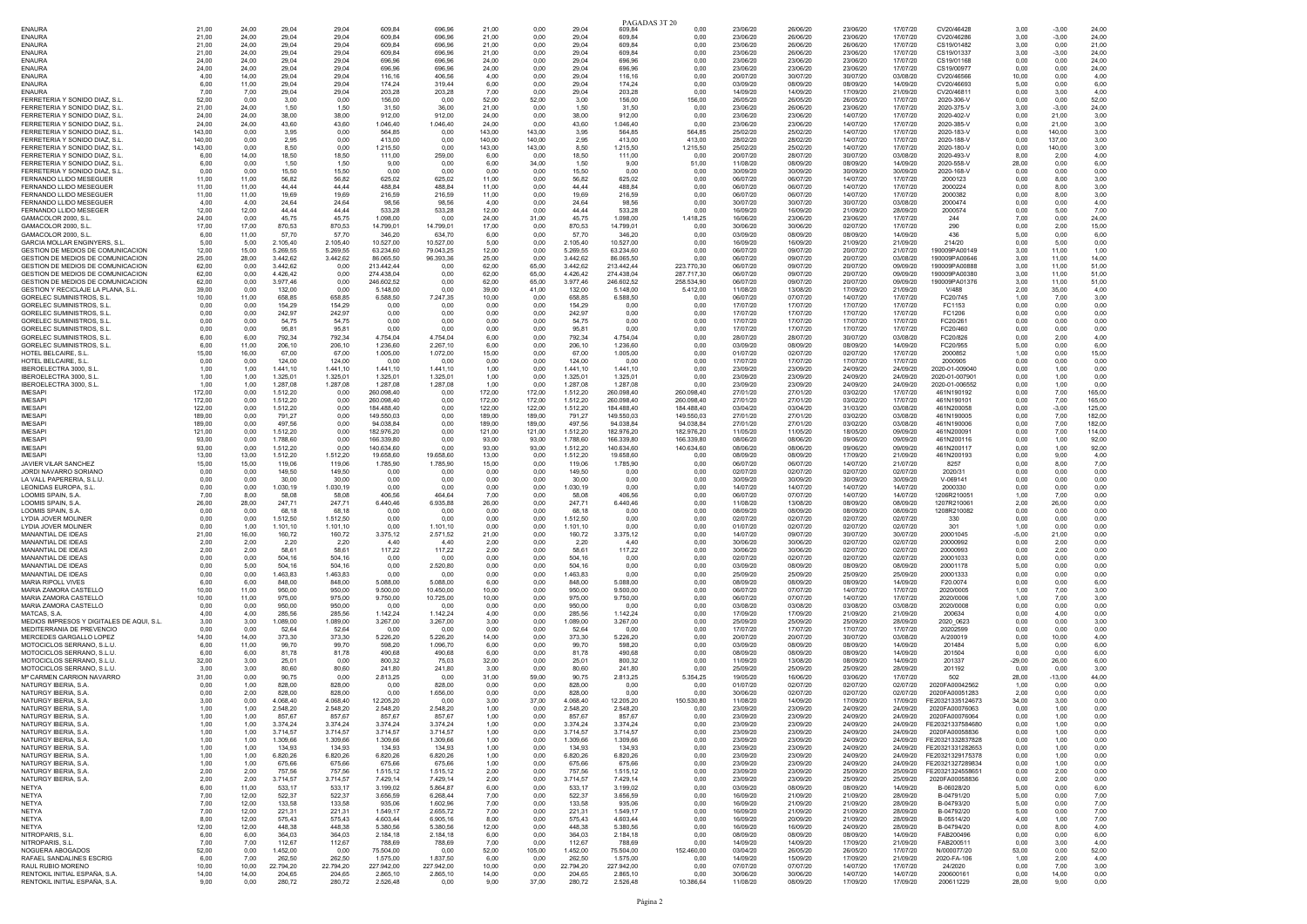|                                                                        |                  |                |                      |                    |                          |                      |                  |                  |                      | PAGADAS 3T 20            |                          |                      |                      |                      |                      |                                               |               |                  |                  |
|------------------------------------------------------------------------|------------------|----------------|----------------------|--------------------|--------------------------|----------------------|------------------|------------------|----------------------|--------------------------|--------------------------|----------------------|----------------------|----------------------|----------------------|-----------------------------------------------|---------------|------------------|------------------|
| <b>ENAURA</b>                                                          | 21.00            | 24.00          | 29.04                | 29.04              | 609.84                   | 696.96               | 21.00            | 0.00             | 29.04                | 60984                    | 0.00                     | 23/06/20             | 26/06/20             | 23/06/20             | 17/07/20             | CV20/46428                                    | 3.00          | $-3.00$          | 24.00            |
| <b>ENAURA</b><br><b>ENAURA</b>                                         | 21,00<br>21,00   | 24,00<br>24,00 | 29,04<br>29,04       | 29,04<br>29,04     | 609,84<br>609.84         | 696,96<br>696.96     | 21,00<br>21,00   | 0,00<br>0,00     | 29,04<br>29,04       | 609,84<br>609.84         | 0,00<br>0,00             | 23/06/20<br>23/06/20 | 26/06/20<br>26/06/20 | 23/06/20<br>26/06/20 | 17/07/20<br>17/07/20 | CV20/46286<br>CS19/01482                      | 3,00<br>3,00  | $-3,00$<br>0.00  | 24,00<br>21,00   |
| <b>FNAURA</b>                                                          | 21,00            | 24,00          | 29.04                | 29.04              | 609.84                   | 696.96               | 21.00            | 0,00             | 29,04                | 60984                    | 0,00                     | 23/06/20             | 26/06/20             | 23/06/20             | 17/07/20             | CS19/01337                                    | 3,00          | $-3,00$          | 24,00            |
| <b>ENAURA</b>                                                          | 24.00            | 24.00          | 29.04                | 29.04              | 696.96                   | 696.96               | 24.00            | 0,00             | 29,04                | 696.96                   | 0,00                     | 23/06/20             | 23/06/20             | 23/06/20             | 17/07/20             | CS19/01168                                    | 0,00          | 0.00             | 24,00            |
| <b>ENAURA</b>                                                          | 24.00            | 24.00          | 29.04                | 29.04              | 696.96                   | 696.96               | 24.00            | 0.00             | 29.04                | 696.96                   | 0.00                     | 23/06/20             | 23/06/20             | 23/06/20             | 17/07/20             | CS19/00977                                    | 0.00          | 0.00             | 24.00            |
| <b>ENAURA</b>                                                          | 4,00             | 14,00          | 29,04                | 29,04              | 116,16                   | 406,56               | 4,00             | 0,00             | 29,04                | 116,16                   | 0,00                     | 20/07/20             | 30/07/20             | 30/07/20             | 03/08/20             | CV20/46566                                    | 10,00         | 0,00             | 4,00             |
| <b>ENAURA</b>                                                          | 6.00             | 11,00          | 29,04                | 29,04              | 174.24                   | 319.44               | 6.00             | 0,00             | 29,04                | 174.24                   | 0,00                     | 03/09/20             | 08/09/20             | 08/09/20             | 14/09/20             | CV20/46693                                    | 5,00          | 0.00             | 6,00             |
| <b>FNAURA</b>                                                          | 7,00             | 7,00           | 29,04                | 29,04              | 203.28                   | 203,28               | 7.00             | 0.00             | 29,04                | 203.28                   | 0,00                     | 14/09/20             | 14/09/20             | 17/09/20             | 21/09/20             | CV20/46811                                    | 0,00          | 3.00             | 4,00             |
| FERRETERIA Y SONIDO DIAZ, S.L.<br>FERRETERIA Y SONIDO DIAZ, S.L.       | 52,00<br>21.00   | 0,00<br>24.00  | 3,00<br>1.50         | 0,00<br>1.50       | 156,00<br>31.50          | 0,00<br>36.00        | 52,00<br>21.00   | 52,00<br>0.00    | 3,00<br>1,50         | 156,00<br>31.50          | 156,00<br>0.00           | 26/05/20<br>23/06/20 | 26/05/20<br>26/06/20 | 26/05/20<br>23/06/20 | 17/07/20<br>17/07/20 | 2020-306-V<br>2020-375-V                      | 0,00<br>3,00  | 0,00<br>$-3,00$  | 52,00<br>24,00   |
| FERRETERIA Y SONIDO DIAZ. S.L                                          | 24,00            | 24,00          | 38,00                | 38,00              | 912,00                   | 912,00               | 24,00            | 0,00             | 38,00                | 912,00                   | 0,00                     | 23/06/20             | 23/06/20             | 14/07/20             | 17/07/20             | 2020-402-V                                    | 0,00          | 21,00            | 3,00             |
| FERRETERIA Y SONIDO DIAZ. S.L                                          | 24,00            | 24,00          | 43,60                | 43,60              | 1.046,40                 | 1.046.40             | 24.00            | 0,00             | 43,60                | 1.046,40                 | 0,00                     | 23/06/20             | 23/06/20             | 14/07/20             | 17/07/20             | 2020-385-\                                    | 0,00          | 21,00            | 3,00             |
| FERRETERIA Y SONIDO DIAZ S I                                           | 143.00           | 0.00           | 3.95                 | 0.00               | 564.85                   | 0.00                 | 143.00           | 143.00           | 3.95                 | 56485                    | 564.85                   | 25/02/20             | 25/02/20             | 14/07/20             | 17/07/20             | 2020-183-V                                    | 0.00          | 140.00           | 3.00             |
| FERRETERIA Y SONIDO DIAZ, S.L                                          | 140,00           | 0,00           | 2,95                 | 0,00               | 413,00                   | 0,00                 | 140,00           | 140,00           | 2,95                 | 413,00                   | 413,00                   | 28/02/20             | 28/02/20             | 14/07/20             | 17/07/20             | 2020-188-V                                    | 0,00          | 137,00           | 3,00             |
| FERRETERIA Y SONIDO DIAZ. S.L                                          | 143.00           | 0.00           | 8.50                 | 0.00               | 1.215.50                 | 0.00                 | 143.00           | 143,00           | 8.50                 | 1.215.50                 | 1.215.50                 | 25/02/20             | 25/02/20             | 14/07/20             | 17/07/20             | 2020-180-V                                    | 0.00          | 140.00           | 3.00             |
| FERRETERIA Y SONIDO DIAZ, S.L                                          | 6,00             | 14,00          | 18,50                | 18,50              | 111,00                   | 259,00               | 6,00             | 0,00             | 18,50                | 111,00                   | 0,00                     | 20/07/20             | 28/07/20             | 30/07/20             | 03/08/20             | 2020-493-V                                    | 8,00          | 2,00             | 4,00             |
| FERRETERIA Y SONIDO DIAZ. S.L<br>FERRETERIA Y SONIDO DIAZ. S.L         | 6.00<br>0.00     | 0.00<br>0.00   | 1.50<br>15,50        | 1.50<br>15,50      | 9,00<br>0.00             | 0.00<br>0.00         | 6.00<br>0.00     | 34,00<br>0.00    | 1,50<br>15,50        | 9.00<br>0.00             | 51,00<br>0,00            | 11/08/20<br>30/09/20 | 08/09/20<br>30/09/20 | 08/09/20<br>30/09/20 | 14/09/20<br>30/09/20 | 2020-558-\<br>2020-168-V                      | 28,00<br>0,00 | 0.00<br>0.00     | 6,00<br>0,00     |
| FERNANDO LLIDO MESEGUER                                                | 11,00            | 11,00          | 56,82                | 56,82              | 625,02                   | 625,02               | 11,00            | 0,00             | 56,82                | 625,02                   | 0,00                     | 06/07/20             | 06/07/20             | 14/07/20             | 17/07/20             | 2000123                                       | 0,00          | 8,00             | 3,00             |
| FERNANDO LLIDO MESEGUER                                                | 11.00            | 11.00          | 44.44                | 44.44              | 488.84                   | 488,84               | 11.00            | 0.00             | 44,44                | 488.84                   | 0.00                     | 06/07/20             | 06/07/20             | 14/07/20             | 17/07/20             | 2000224                                       | 0.00          | 8.00             | 3,00             |
| FERNANDO LLIDO MESEGUER                                                | 11,00            | 11,00          | 19.69                | 19.69              | 216,59                   | 216,59               | 11,00            | 0,00             | 19.69                | 216,59                   | 0,00                     | 06/07/20             | 06/07/20             | 14/07/20             | 17/07/20             | 2000382                                       | 0,00          | 8.00             | 3,00             |
| FERNANDO LLIDO MESEGUER                                                | 4.00             | 4,00           | 24,64                | 24,64              | 98.56                    | 98.56                | 4.00             | 0,00             | 24,64                | 98.56                    | 0,00                     | 30/07/20             | 30/07/20             | 30/07/20             | 03/08/20             | 2000474                                       | 0,00          | 0.00             | 4,00             |
| FERNANDO LLIDO MESEGER<br>GAMACOLOR 2000, S.L                          | 12.00            | 12,00          | 44 44                | 44 44              | 533.28                   | 533,28               | 12,00            | 0.00             | 44 44                | 533.28                   | 0.00                     | 16/09/20             | 16/09/20             | 21/09/20             | 28/09/20             | 2000574<br>244                                | 0,00          | 5.00             | 7.00             |
| GAMACOLOR 2000, S.L.                                                   | 24,00<br>17.00   | 0,00<br>17.00  | 45,75<br>870,53      | 45,75<br>870,53    | 1.098,00<br>14.799.01    | 0,00<br>14.799,01    | 24,00<br>17.00   | 31,00<br>0.00    | 45,75<br>870,53      | 1.098,00<br>14.799,01    | 1.418,25<br>0.00         | 16/06/20<br>30/06/20 | 23/06/20<br>30/06/20 | 23/06/20<br>02/07/20 | 17/07/20<br>17/07/20 | 290                                           | 7,00<br>0.00  | 0,00<br>2.00     | 24,00<br>15.00   |
| GAMACOLOR 2000, S.L                                                    | 6.00             | 11,00          | 57.70                | 57.70              | 346,20                   | 634.70               | 6.00             | 0.00             | 57.70                | 346.20                   | 0.00                     | 03/09/20             | 08/09/20             | 08/09/20             | 14/09/20             | 436                                           | 5,00          | 0.00             | 6,00             |
| <b>GARCIA MOLLAR ENGINYERS. S.L.</b>                                   | 5.00             | 5,00           | 2.105,40             | 2.105,40           | 10.527.00                | 10.527.00            | 5.00             | 0,00             | 2.105,40             | 10.527.00                | 0,00                     | 16/09/20             | 16/09/20             | 21/09/20             | 21/09/20             | 214/20                                        | 0,00          | 5.00             | 0,00             |
| GESTION DE MEDIOS DE COMUNICACION                                      | 12.00            | 15,00          | 5.269.55             | 5.269.55           | 63.234.60                | 79.043.25            | 12,00            | 0.00             | 5.269.55             | 63.234.60                | 0.00                     | 06/07/20             | 09/07/20             | 20/07/20             | 21/07/20             | 190009PA00149                                 | 3,00          | 11.00            | 1,00             |
| GESTION DE MEDIOS DE COMUNICACION                                      | 25,00            | 28,00          | 3.442,62             | 3.442,62           | 86.065,50                | 96.393,36            | 25,00            | 0,00             | 3.442,62             | 86.065,50                | 0,00                     | 06/07/20             | 09/07/20             | 20/07/20             | 03/08/20             | 190009PA00646                                 | 3,00          | 11,00            | 14,00            |
| GESTION DE MEDIOS DE COMUNICACION                                      | 62.00            | 0.00           | 3.442,62             | 0.00               | 213.442.44               | 0.00                 | 62.00            | 65.00            | 3.442,62             | 213,442.44               | 223.770,30               | 06/07/20             | 09/07/20             | 20/07/20             | 09/09/20             | 190009PA00888                                 | 3.00          | 11.00            | 51,00            |
| GESTION DE MEDIOS DE COMUNICACION<br>GESTION DE MEDIOS DE COMUNICACION | 62.00<br>62.00   | 0.00<br>0,00   | 4.426,42<br>3.977,46 | 0,00<br>0,00       | 274,438.04<br>246.602.52 | 0.00<br>0.00         | 62,00<br>62.00   | 65,00<br>65,00   | 4.426,42<br>3.977,46 | 274.438,04<br>246.602,52 | 287.717,30<br>258.534,90 | 06/07/20<br>06/07/20 | 09/07/20<br>09/07/20 | 20/07/20<br>20/07/20 | 09/09/20<br>09/09/20 | 190009PA00380<br>190009PA01376                | 3,00<br>3,00  | 11.00<br>11,00   | 51,00<br>51,00   |
| GESTION Y RECICLAJE LA PLANA, S.L.                                     | 39.00            | 0.00           | 132.00               | 0.00               | 5,148.00                 | 0.00                 | 39.00            | 41.00            | 132.00               | 5.148.00                 | 5.412,00                 | 11/08/20             | 13/08/20             | 17/09/20             | 21/09/20             | V/488                                         | 2.00          | 35.00            | 4,00             |
| GORELEC SUMINISTROS, S.L.                                              | 10,00            | 11,00          | 658,85               | 658,85             | 6.588,50                 | 7.247,35             | 10,00            | 0,00             | 658,85               | 6.588,50                 | 0,00                     | 06/07/20             | 07/07/20             | 14/07/20             | 17/07/20             | FC20/745                                      | 1,00          | 7,00             | 3,00             |
| GORELEC SUMINISTROS, S.L.                                              | 0.00             | 0.00           | 154.29               | 154.29             | 0.00                     | 0.00                 | 0.00             | 0.00             | 154.29               | 0.00                     | 0.00                     | 17/07/20             | 17/07/20             | 17/07/20             | 17/07/20             | FC1153                                        | 0.00          | 0.00             | 0.00             |
| GORELEC SUMINISTROS, S.L.                                              | 0.00             | 0,00           | 242,97               | 242.97             | 0,00                     | 0.00                 | 0.00             | 0,00             | 242,97               | 0.00                     | 0,00                     | 17/07/20             | 17/07/20             | 17/07/20             | 17/07/20             | FC1206                                        | 0,00          | 0.00             | 0.00             |
| GORFLEC SUMINISTROS ST                                                 | 0.00             | 0.00           | 54.75                | 54.75              | 0.00                     | 0.00                 | 0.00             | 0,00             | 54.75                | 0.00                     | 0.00                     | 17/07/20             | 17/07/20             | 17/07/20             | 17/07/20             | FC20/26                                       | 0.00          | 0.00             | 0.00             |
| <b>GORELEC SUMINISTROS, S.L.</b>                                       | 0.00             | 0.00           | 95.81                | 95.81              | 0.00                     | 0.00                 | 0.00             | 0.00             | 95.81                | 0.00                     | 0.00                     | 17/07/20             | 17/07/20             | 17/07/20             | 17/07/20             | FC20/460                                      | 0.00          | 0.00             | 0.00             |
| GORELEC SUMINISTROS, S.L.<br>GORELEC SUMINISTROS, S.L.                 | 6,00<br>6.00     | 6,00<br>11.00  | 792,34<br>206.10     | 792,34<br>206,10   | 4.754,04<br>1.236,60     | 4.754,04<br>2.267,10 | 6,00<br>6.00     | 0,00<br>0.00     | 792,34<br>206.10     | 4.754,04<br>1.236.60     | 0,00<br>0.00             | 28/07/20<br>03/09/20 | 28/07/20<br>08/09/20 | 30/07/20<br>08/09/20 | 03/08/20<br>14/09/20 | FC20/826<br>FC20/955                          | 0,00<br>5,00  | 2,00<br>0.00     | 4,00<br>6,00     |
| HOTEL BELCAIRE, S.L.                                                   | 15,00            | 16,00          | 67.00                | 67.00              | 1.005,00                 | 1.072,00             | 15,00            | 0,00             | 67.00                | 1.005,00                 | 0,00                     | 01/07/20             | 02/07/20             | 02/07/20             | 17/07/20             | 2000852                                       | 1,00          | 0.00             | 15,00            |
| HOTEL BELCAIRE, S.L                                                    | 0.00             | 0,00           | 124.00               | 124.00             | 0.00                     | 0.00                 | 0.00             | 0.00             | 124.00               | 0.00                     | 0.00                     | 17/07/20             | 17/07/20             | 17/07/20             | 17/07/20             | 2000905                                       | 0,00          | 0.00             | 0.00             |
| IBEROELECTRA 3000, S.L                                                 | 1.00             | 1.00           | 1.441,10             | 1.441.10           | 1.441.10                 | 1.441.10             | 1.00             | 0.00             | 1.441.10             | 1.441.10                 | 0.00                     | 23/09/20             | 23/09/20             | 24/09/20             | 24/09/20             | 2020-01-009040                                | 0.00          | 1.00             | 0,00             |
| IBEROELECTRA 3000, S.L.                                                | 1,00             | 1,00           | 1.325,01             | 1.325,01           | 1.325,01                 | 1.325,01             | 1,00             | 0,00             | 1.325,01             | 1.325,01                 | 0,00                     | 23/09/20             | 23/09/20             | 24/09/20             | 24/09/20             | 2020-01-007901                                | 0,00          | 1,00             | 0,00             |
| IBEROELECTRA 3000, S.L.                                                | 1.00             | 1,00           | 1.287,08             | 1.287,08           | 1.287,08                 | 1.287.08             | 1.00             | 0,00             | 1.287,08             | 1.287,08                 | 0,00                     | 23/09/20             | 23/09/20             | 24/09/20             | 24/09/20             | 2020-01-006552                                | 0,00          | 1.00             | 0,00             |
| <b>IMFSAPI</b><br><b>IMESAPI</b>                                       | 172.00<br>172,00 | 0.00<br>0,00   | 1.512,20<br>1.512,20 | 0.00<br>0,00       | 260.098.40<br>260.098,40 | 0.00<br>0,00         | 172.00<br>172,00 | 172.00<br>172,00 | 1.512,20<br>1.512,20 | 260.098,40<br>260.098,40 | 260.098.40<br>260.098,40 | 27/01/20<br>27/01/20 | 27/01/20<br>27/01/20 | 03/02/20<br>03/02/20 | 17/07/20<br>17/07/20 | 461N190192<br>461N190101                      | 0,00<br>0,00  | 7.00<br>7,00     | 165,00<br>165,00 |
| <b>IMESAPI</b>                                                         | 122.00           | 0.00           | 1.512.20             | 0.00               | 184,488.40               | 0.00                 | 122.00           | 122.00           | 1.512.20             | 184,488,40               | 184.488.40               | 03/04/20             | 03/04/20             | 31/03/20             | 03/08/20             | 461N200058                                    | 0.00          | $-3.00$          | 125.00           |
| <b>IMESAPI</b>                                                         | 189,00           | 0,00           | 791,27               | 0,00               | 149.550,03               | 0,00                 | 189,00           | 189,00           | 791,27               | 149.550,03               | 149.550,03               | 27/01/20             | 27/01/20             | 03/02/20             | 03/08/20             | 461N190005                                    | 0,00          | 7,00             | 182,00           |
| <b>IMESAP</b>                                                          | 189.00           | 0,00           | 497,56               | 0,00               | 94.038.8                 | 0.00                 | 189.00           | 189.00           | 497.56               | 94.038.8                 | 94.038.84                | 27/01/20             | 27/01/20             | 03/02/20             | 03/08/20             | 461N190006                                    | 0,00          | 7,00             | 182,00           |
| <b>IMESAPI</b>                                                         | 121,00           | 0.00           | 1.512,20             | 0,00               | 182.976,20               | 0.00                 | 121,00           | 121,00           | 1.512,20             | 182.976,20               | 182.976,20               | 11/05/20             | 11/05/20             | 18/05/20             | 09/09/20             | 461N200091                                    | 0,00          | 7.00             | 114,00           |
| <b>IMESAP</b>                                                          | 93.00            | 0,00           | 1.788,60             | 0,00               | 166,339.80               | 0.00                 | 93.00            | 93.00            | 1.788,60             | 166.339,80               | 166.339,80               | 08/06/20             | 08/06/20             | 09/06/20             | 09/09/20             | 461N200116                                    | 0,00          | 1,00             | 92,00            |
| <b>IMESAPI</b><br><b>IMFSAPI</b>                                       | 93.00            | 0.00           | 1.512.20             | 0.00               | 140.634.60<br>19,658.60  | 0.00<br>19,658.60    | 93.00            | 93.00<br>0.00    | 1.512.20             | 140.634.60<br>19.658.60  | 140.634,60               | 08/06/20<br>08/09/20 | 08/06/20             | 09/06/20<br>17/09/20 | 09/09/20             | 461N200117<br>461N200193                      | 0.00          | 1.00<br>9.00     | 92,00            |
| <b>JAVIER VILAR SANCHEZ</b>                                            | 13,00<br>15,00   | 13,00<br>15,00 | 1.512,20<br>119,06   | 1.512,20<br>119,06 | 1.785,90                 | 1.785,90             | 13,00<br>15,00   | 0,00             | 1.512,20<br>119,06   | 1.785,90                 | 0,00<br>0,00             | 06/07/20             | 08/09/20<br>06/07/20 | 14/07/20             | 21/09/20<br>21/07/20 | 8257                                          | 0,00<br>0,00  | 8.00             | 4,00<br>7,00     |
| JORDI NAVARRO SORIANO                                                  | 0.00             | 0.00           | 149.50               | 149.50             | 0.00                     | 0.00                 | 0.00             | 0.00             | 149.50               | 0.00                     | 0.00                     | 02/07/20             | 02/07/20             | 02/07/20             | 02/07/20             | 2020/31                                       | 0.00          | 0.00             | 0.00             |
| LA VALL PAPERERIA, S.L.U                                               | 0,00             | 0,00           | 30,00                | 30,00              | 0,00                     | 0,00                 | 0,00             | 0,00             | 30,00                | 0,00                     | 0,00                     | 30/09/20             | 30/09/20             | 30/09/20             | 30/09/20             | V-069141                                      | 0,00          | 0,00             | 0,00             |
| LEONIDAS EUROPA, S.L.                                                  | 0.00             | 0.00           | 1.030.19             | 1.030.19           | 0.00                     | 0.00                 | 0.00             | 0.00             | 1.030,19             | 0.00                     | 0.00                     | 14/07/20             | 14/07/20             | 14/07/20             | 14/07/20             | 2000330                                       | 0.00          | 0.00             | 0.00             |
| LOOMIS SPAIN, S.A                                                      | 7,00             | 8,00           | 58.08                | 58.08              | 406,56                   | 464.64               | 7,00             | 0,00             | 58.08                | 406.56                   | 0,00                     | 06/07/20             | 07/07/20             | 14/07/20             | 14/07/20             | 1206R21005                                    | 1,00          | 7.00             | 0,00             |
| <b>LOOMIS SPAIN, S.A.</b>                                              | 26,00            | 28,00          | 247,71               | 247,71             | 6.440,46                 | 6.935,88             | 26,00            | 0,00             | 247,71               | 6.440,46                 | 0,00                     | 11/08/20             | 13/08/20             | 08/09/20             | 08/09/20             | 1207R21006                                    | 2,00          | 26,00            | 0,00             |
| <b>LOOMIS SPAIN S A</b><br>LYDIA JOVER MOLINER                         | 0.00<br>0,00     | 0.00<br>0,00   | 68 18<br>1.512,50    | 68.18<br>1.512,50  | 0,00<br>0,00             | 0.00<br>0,00         | 0.00<br>0,00     | 0.00<br>0,00     | 68 18<br>1.512,50    | 0.00<br>0,00             | 0,00<br>0,00             | 08/09/20<br>02/07/20 | 08/09/20<br>02/07/20 | 08/09/20<br>02/07/20 | 08/09/20<br>02/07/20 | 1208R210082<br>330                            | 0,00<br>0,00  | 0.00<br>0,00     | 0,00<br>0,00     |
| <b>LYDIA JOVER MOLINER</b>                                             | 0.00             | 1.00           | 1.101,10             | 1.101.10           | 0.00                     | 1.101.10             | 0.00             | 0.00             | 1.101.10             | 0.00                     | 0.00                     | 01/07/20             | 02/07/20             | 02/07/20             | 02/07/20             | 301                                           | 1,00          | 0,00             | 0,00             |
| MANANTIAL DE IDEAS                                                     | 21,00            | 16,00          | 160,72               | 160,72             | 3.375,12                 | 2.571,52             | 21,00            | 0,00             | 160,72               | 3.375,12                 | 0,00                     | 14/07/20             | 09/07/20             | 30/07/20             | 30/07/20             | 20001045                                      | $-5,00$       | 21,00            | 0,00             |
| MANANTIAL DE IDEAS                                                     | 2,00             | 2,00           | 2,20                 | 2,20               | 4.40                     | 4.40                 | 2,00             | 0,00             | 2.20                 | 4.40                     | 0,00                     | 30/06/20             | 30/06/20             | 02/07/20             | 02/07/20             | 20000992                                      | 0,00          | 2,00             | 0,00             |
| MANANTIAL DE IDEAS                                                     | 2.00             | 2.00           | 58.61                | 58.61              | 117,22                   | 117,22               | 2.00             | 0.00             | 58.61                | 117.22                   | 0.00                     | 30/06/20             | 30/06/20             | 02/07/20             | 02/07/20             | 20000993                                      | 0.00          | 2.00             | 0,00             |
| MANANTIAL DE IDEAS                                                     | 0,00             | 0,00           | 504,16               | 504,16             | 0,00                     | 0,00                 | 0,00             | 0,00             | 504,16               | 0,00                     | 0,00                     | 02/07/20             | 02/07/20             | 02/07/20             | 02/07/20             | 20001033                                      | 0,00          | 0,00             | 0,00             |
| MANANTIAL DE IDEAS<br>MANANTIAL DE IDEAS                               | 0.00<br>0.00     | 5.00<br>0.00   | 504.16<br>1.463.83   | 504.16<br>1.463.83 | 0.00<br>0.00             | 2.520.80<br>0.00     | 0.00<br>0.00     | 0.00<br>0,00     | 504.16<br>1.463.83   | 0.00<br>0.00             | 0.00<br>0,00             | 03/09/20<br>25/09/20 | 08/09/20<br>25/09/20 | 08/09/20<br>25/09/20 | 08/09/20<br>25/09/20 | 20001178<br>20001333                          | 5.00<br>0.00  | 0.00<br>0.00     | 0.00<br>0.00     |
| <b>MARIA RIPOLL VIVES</b>                                              | 6.00             | 6.00           | 848.00               | 848.00             | 5.088.00                 | 5.088.00             | 6.00             | 0.00             | 848.00               | 5.088.00                 | 0,00                     | 08/09/20             | 08/09/20             | 08/09/20             | 14/09/20             | F20.0074                                      | 0,00          | 0.00             | 6.00             |
| MARIA ZAMORA CASTELLO                                                  | 10.00            | 11.00          | 950.00               | 950.00             | 9.500.00                 | 10.450.00            | 10.00            | 0.00             | 950.00               | 9.500.00                 | 0.00                     | 06/07/20             | 07/07/20             | 14/07/20             | 17/07/20             | 2020/0005                                     | 1.00          | 7.00             | 3.00             |
| MARIA ZAMORA CASTELLÓ                                                  | 10,00            | 11,00          | 975,00               | 975,00             | 9.750,00                 | 10.725,00            | 10,00            | 0,00             | 975,00               | 9.750,00                 | 0,00                     | 06/07/20             | 07/07/20             | 14/07/20             | 17/07/20             | 2020/0006                                     | 1,00          | 7,00             | 3,00             |
| MARIA ZAMORA CASTELLÓ                                                  | 0.00             | 0.00           | 950,00               | 950.00             | 0.00                     | 0.00                 | 0.00             | 0.00             | 950.00               | 0.00                     | 0.00                     | 03/08/20             | 03/08/20             | 03/08/20             | 03/08/20             | 2020/0008                                     | 0,00          | 0,00             | 0,00             |
| MATCAS, S.A.                                                           | 4,00             | 4,00           | 285.56               | 285,56             | 1.142,24                 | 1.142,24             | 4,00             | 0,00             | 285.56               | 1.142.24                 | 0,00                     | 17/09/20             | 17/09/20             | 21/09/20             | 21/09/20             | 200634                                        | 0,00          | 4.00             | 0,00             |
| MEDIOS IMPRESOS Y DIGITALES DE AQUI. S.L<br>MEDITERRANIA DE PREVENCIO  | 3,00<br>0.00     | 3,00<br>0.00   | 1.089,00<br>52.64    | 1.089,00<br>52.64  | 3.267,00<br>0.00         | 3.267,00<br>0.00     | 3.00<br>0.00     | 0,00<br>0.00     | 1.089.00<br>52.64    | 3.267,00<br>0.00         | 0,00<br>0.00             | 25/09/20<br>17/07/20 | 25/09/20<br>17/07/20 | 25/09/20<br>17/07/20 | 28/09/20<br>17/07/20 | 2020 0623<br>20202599                         | 0,00<br>0.00  | 0.00<br>0.00     | 3,00<br>0,00     |
| MERCEDES GARGALLO LOPEZ                                                | 14,00            | 14,00          | 373,30               | 373,30             | 5.226,20                 | 5.226,20             | 14,00            | 0,00             | 373,30               | 5.226,20                 | 0,00                     | 20/07/20             | 20/07/20             | 30/07/20             | 03/08/20             | A/200019                                      | 0,00          | 10,00            | 4,00             |
| MOTOCICLOS SERRANO, S.L.U.                                             | 6,00             | 11,00          | 99,70                | 99,70              | 598,20                   | 1.096.70             | 6.00             | 0,00             | 99,70                | 598.20                   | 0,00                     | 03/09/20             | 08/09/20             | 08/09/20             | 14/09/20             | 201484                                        | 5,00          | 0.00             | 6,00             |
| MOTOCICLOS SERRANO, S.L.U                                              | 6.00             | 6.00           | 81.78                | 81,78              | 490.68                   | 490.68               | 6.00             | 0,00             | 81,78                | 490.68                   | 0,00                     | 08/09/20             | 08/09/20             | 08/09/20             | 14/09/20             | 201504                                        | 0,00          | 0.00             | 6,00             |
| MOTOCICLOS SERRANO S L U                                               | 32,00            | 3.00           | 25.01                | 0.00               | 800,32                   | 75.03                | 32,00            | 0,00             | 25.01                | 800.32                   | 0,00                     | 11/09/20             | 13/08/20             | 08/09/20             | 14/09/20             | 201337                                        | $-29,00$      | 26.00            | 6,00             |
| MOTOCICLOS SERRANO, S.L.U.                                             | -3.00            | 3.00           | 80.60                | 80.60              | 241.80                   | 241.80               | 3.00             | 0.00             | 80.60                | 241.80                   | 0.00                     | 25/09/20             | 25/09/20             | 25/09/20             | 28/09/20             | 201192                                        | 0.00          | 0.00             | 3.00             |
| Mª CARMEN CARRION NAVARRO<br>NATURGY IBERIA, S.A                       | 31,00<br>0.00    | 0,00<br>1.00   | 90,75<br>828.00      | 0,00<br>828.00     | 2.813,25<br>0.00         | 0,00<br>828.00       | 31,00<br>0.00    | 59,00<br>0.00    | 90,75<br>828.00      | 2.813,25<br>0.00         | 5.354,25<br>0,00         | 19/05/20<br>01/07/20 | 16/06/20<br>02/07/20 | 03/06/20<br>02/07/20 | 17/07/20<br>02/07/20 | 502<br>2020FA00042562                         | 28,00<br>1,00 | $-13,00$<br>0.00 | 44,00<br>0.00    |
| NATURGY IBERIA SA                                                      | 0.00             | 2.00           | 828.00               | 828.00             | 0.00                     | 1.656.00             | 0.00             | 0.00             | 828.00               | 0.00                     | 0.00                     | 30/06/20             | 02/07/20             | 02/07/20             | 02/07/20             | 2020FA00051283                                | 2,00          | 0.00             | 0.00             |
| NATURGY IBERIA, S.A.                                                   | 3.00             | 0.00           | 4.068.40             | 4.068.40           | 12.205,20                | 0.00                 | 3.00             | 37.00            | 4.068.40             | 12.205.20                | 150,530.80               | 11/08/20             | 14/09/20             | 17/09/20             | 17/09/20             | FE20321335124673                              | 34.00         | 3.00             | 0,00             |
| NATURGY IBERIA S A                                                     | 1.00             | 1.00           | 2.548.20             | 2.548.20           | 2.548.20                 | 2.548,20             | 1.00             | 0.00             | 2,548.20             | 2.548.20                 | 0.00                     | 23/09/20             | 23/09/20             | 24/09/20             | 24/09/20             | 2020FA00076063                                | 0.00          | 1.00             | 0.00             |
| NATURGY IBERIA, S.                                                     | 1.00             | 1.00           | 857 67               | 857.67             |                          |                      | 1.00             | 0,00             | 857.67               |                          | 0.00                     | 23/09/20             | 23/09/20             | 24/09/20             | 24/09/20             |                                               | 0,00          | 1.00             | 0,00             |
| NATURGY IBERIA S A                                                     | 1,00             | 1,00           | 3.374.24             | 3.374.24           | 3.374.24                 | 3.374.24             | 1.00             | 0,00             | 3.374.24             | 3.374.24                 | 0,00                     | 23/09/20             | 23/09/20             | 24/09/20             |                      | 24/09/20 FE20321337584680                     | 0,00          | 1.00             | 0,00             |
| NATURGY IBERIA SA                                                      | 1.00             | 1.00           | 3 7 1 4 5 7          | 3 7 1 4 5 7        | 3.714.57                 | 3 7 1 4 5 7          | 1.00             | 0.00             | 371457               | 3 7 14 5 7               | 0.00                     | 23/09/20             | 23/09/20             | 24/09/20             | 24/09/20             | 2020EA00058836                                | 0.00          | 1.00             | 0.00             |
| NATURGY IBERIA, S.A.<br>NATURGY IBERIA, S.A.                           | 1,00<br>1.00     | 1,00<br>1.00   | 1.309,66<br>134.93   | 1.309,66<br>134.93 | 1.309,66<br>134.93       | 1.309,66<br>134.93   | 1,00<br>1.00     | 0,00<br>0.00     | 1.309,66<br>134.93   | 1.309,66<br>134.93       | 0,00<br>0.00             | 23/09/20<br>23/09/20 | 23/09/20<br>23/09/20 | 24/09/20<br>24/09/20 | 24/09/20             | FE20321332837828<br>24/09/20 FE20321331282653 | 0,00<br>0.00  | 1,00<br>1.00     | 0,00<br>0.00     |
| NATURGY IBERIA, S.A.                                                   | 1,00             | 1,00           | 6.820,26             | 6.820,26           | 6.820,26                 | 6.820,26             | 1,00             | 0,00             | 6.820,26             | 6.820,26                 | 0,00                     | 23/09/20             | 23/09/20             | 24/09/20             |                      | 24/09/20 FE20321329175378                     | 0,00          | 1,00             | 0,00             |
| NATURGY IBERIA, S.A.                                                   | 1,00             | 1,00           | 675,66               | 675,66             | 675,66                   | 675,66               | 1,00             | 0,00             | 675,66               | 675.66                   | 0,00                     | 23/09/20             | 23/09/20             | 24/09/20             | 24/09/20             | FE20321327289834                              | 0,00          | 1,00             | 0,00             |
| NATURGY IBERIA, S.A.                                                   | 2,00             | 2,00           | 757.56               | 757.56             | 1.515,12                 | 1.515,12             | 2,00             | 0,00             | 757.56               | 1.515,12                 | 0,00                     | 23/09/20             | 23/09/20             | 25/09/20             | 25/09/20             | FE20321324558651                              | 0,00          | 2,00             | 0,00             |
| NATURGY IBERIA, S.A.                                                   | 2,00             | 2,00           | 3.714,57             | 3.714,57           | 7.429,14                 | 7.429,14             | 2,00             | 0,00             | 3.714,57             | 7.429,14                 | 0,00                     | 23/09/20             | 23/09/20             | 25/09/20             | 25/09/20             | 2020FA00058836                                | 0,00          | 2,00             | 0,00             |
| <b>NETYA</b>                                                           | 6,00             | 11.00          | 533.17               | 533.17             | 3.199.02                 | 5.864.87             | 6.00             | 0.00             | 533.17               | 3.199,02                 | 0.00                     | 03/09/20             | 08/09/20             | 08/09/20             | 14/09/20             | B-06028/20                                    | 5,00          | 0,00             | 6,00             |
| NETYA<br><b>NETYA</b>                                                  | 7,00<br>7,00     | 12,00<br>12,00 | 522,37<br>133.58     | 522,37<br>133.58   | 3.656,59<br>935.06       | 6.268,44<br>1.602.96 | 7,00<br>7,00     | 0,00<br>0,00     | 522,37<br>133.58     | 3.656,59<br>935.06       | 0,00<br>0,00             | 16/09/20<br>16/09/20 | 21/09/20<br>21/09/20 | 21/09/20<br>21/09/20 | 28/09/20<br>28/09/20 | B-04791/20<br>B-04793/20                      | 5,00<br>5,00  | 0,00<br>0.00     | 7,00<br>7,00     |
| <b>NFTYA</b>                                                           | 7,00             | 12.00          | 221.31               | 221,31             | 1.549.17                 | 2.655.72             | 7.00             | 0.00             | 221.31               | 1.549.17                 | 0.00                     | 16/09/20             | 21/09/20             | 21/09/20             | 28/09/20             | B-04792/20                                    | 5.00          | 0.00             | 7,00             |
| NETYA                                                                  | 8,00             | 12,00          | 575,43               | 575,43             | 4.603,44                 | 6.905,16             | 8,00             | 0,00             | 575,43               | 4.603,44                 | 0,00                     | 16/09/20             | 20/09/20             | 21/09/20             | 28/09/20             | B-05514/20                                    | 4,00          | 1,00             | 7,00             |
| <b>NETYA</b>                                                           | 12.00            | 12.00          | 448.38               | 448.38             | 5.380.56                 | 5.380.56             | 12.00            | 0.00             | 448.38               | 5.380.56                 | 0.00                     | 16/09/20             | 16/09/20             | 24/09/20             | 28/09/20             | B-04794/20                                    | 0.00          | 8.00             | 4,00             |
| NITROPARIS, S.L.                                                       | 6.00             | 6.00           | 364.03               | 364.03             | 2.184.18                 | 2 184 18             | 6.00             | 0.00             | 364.03               | 2.184.18                 | 0.00                     | 08/09/20             | 08/09/20             | 08/09/20             | 14/09/20             | FAB200496                                     | 0.00          | 0.00             | 6,00             |
| NITROPARIS, S.L                                                        | 7,00             | 7,00           | 112.67               | 112,67             | 788.69                   | 788.69               | 7.00             | 0.00             | 112.67               | 788.69                   | 0,00                     | 14/09/20             | 14/09/20             | 17/09/20             | 21/09/20             | FAB200511                                     | 0,00          | 3.00             | 4,00             |
| NOGUERA ABOGADOS<br>RAFAEL SANDALINES ESCRIG                           | 52,00<br>6,00    | 0.00<br>7,00   | 1.452.00<br>262,50   | 0.00<br>262,50     | 75.504.00<br>1.575,00    | 0.00<br>1.837,50     | 52,00<br>6,00    | 105.00<br>0,00   | 1,452.00<br>262,50   | 75,504.00<br>1.575,00    | 152.460.00<br>0,00       | 03/04/20<br>14/09/20 | 26/05/20<br>15/09/20 | 26/05/20<br>17/09/20 | 17/07/20<br>21/09/20 | N/000077/20<br>2020-FA-106                    | 53,00<br>1,00 | 0.00<br>2,00     | 52,00<br>4,00    |
| RAUL RUBIO MORENO                                                      | 10,00            | 10.00          | 22.794,20            | 22.794,20          | 227.942,00               | 227.942,00           | 10,00            | 0.00             | 22.794,20            | 227.942,00               | 0.00                     | 07/07/20             | 07/07/20             | 14/07/20             | 17/07/20             | 24/2020                                       | 0,00          | 7.00             | 3,00             |
| RENTOKIL INITIAL ESPAÑA, S.A.                                          | 14,00            | 14,00          | 204,65               | 204,65             | 2.865,10                 | 2.865,10             | 14,00            | 0,00             | 204,65               | 2.865,10                 | 0,00                     | 30/06/20             | 30/06/20             | 14/07/20             | 14/07/20             | 200600161                                     | 0,00          | 14,00            | 0,00             |
| RENTOKIL INITIAL ESPAÑA, S.A.                                          | 9,00             | 0,00           | 280,72               | 280,72             | 2.526,48                 | 0,00                 | 9,00             | 37,00            | 280,72               | 2.526,48                 | 10.386,64                | 11/08/20             | 08/09/20             | 17/09/20             | 17/09/20             | 200611229                                     | 28,00         | 9,00             | 0,00             |